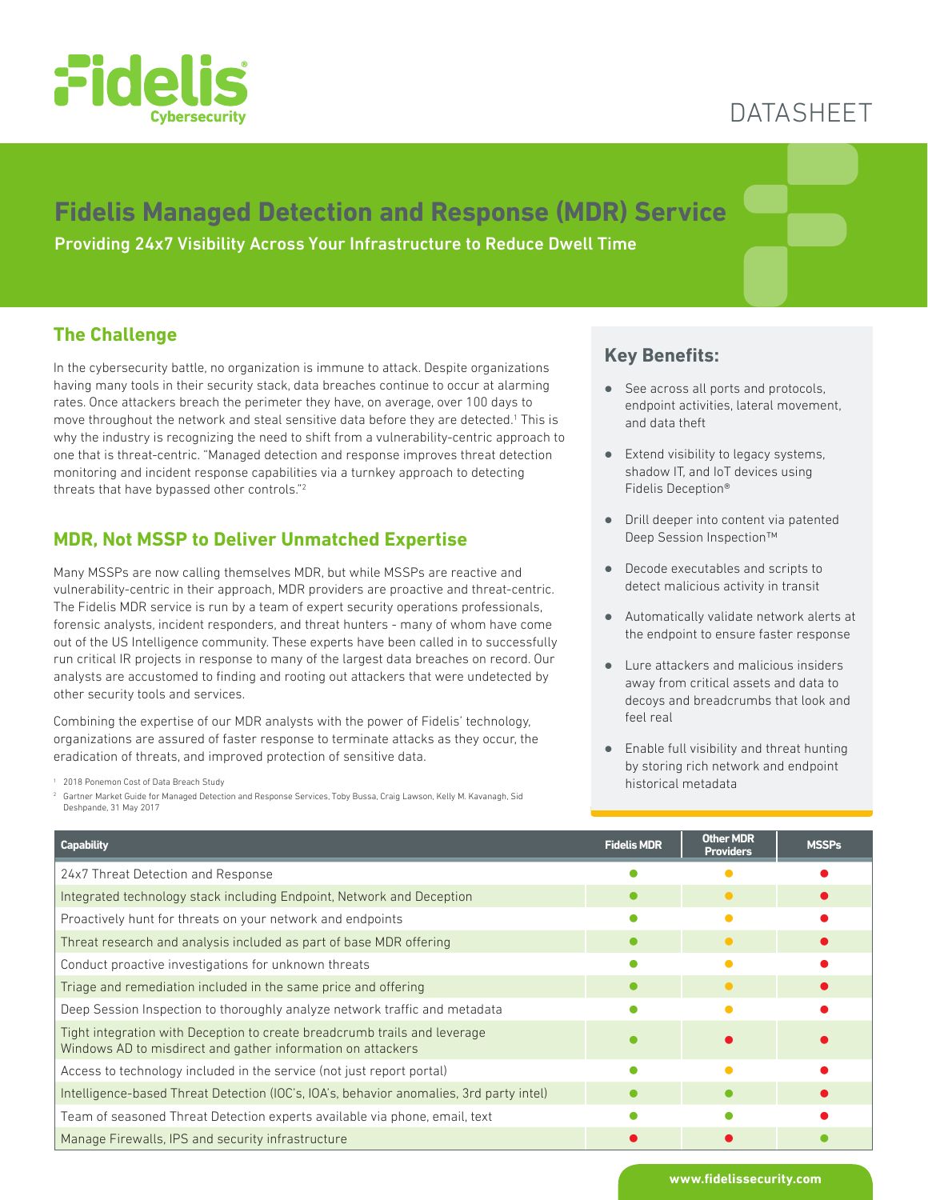

# DATASHEET

## **Fidelis Managed Detection and Response (MDR) Service**

Providing 24x7 Visibility Across Your Infrastructure to Reduce Dwell Time

#### **The Challenge**

In the cybersecurity battle, no organization is immune to attack. Despite organizations having many tools in their security stack, data breaches continue to occur at alarming rates. Once attackers breach the perimeter they have, on average, over 100 days to move throughout the network and steal sensitive data before they are detected.<sup>1</sup> This is why the industry is recognizing the need to shift from a vulnerability-centric approach to one that is threat-centric. "Managed detection and response improves threat detection monitoring and incident response capabilities via a turnkey approach to detecting threats that have bypassed other controls."2

#### **MDR, Not MSSP to Deliver Unmatched Expertise**

Many MSSPs are now calling themselves MDR, but while MSSPs are reactive and vulnerability-centric in their approach, MDR providers are proactive and threat-centric. The Fidelis MDR service is run by a team of expert security operations professionals, forensic analysts, incident responders, and threat hunters - many of whom have come out of the US Intelligence community. These experts have been called in to successfully run critical IR projects in response to many of the largest data breaches on record. Our analysts are accustomed to finding and rooting out attackers that were undetected by other security tools and services.

Combining the expertise of our MDR analysts with the power of Fidelis' technology, organizations are assured of faster response to terminate attacks as they occur, the eradication of threats, and improved protection of sensitive data.

<sup>1</sup> 2018 Ponemon Cost of Data Breach Study

<sup>2</sup> Gartner Market Guide for Managed Detection and Response Services, Toby Bussa, Craig Lawson, Kelly M. Kavanagh, Sid Deshpande, 31 May 2017

#### **Key Benefits:**

- See across all ports and protocols, endpoint activities, lateral movement, and data theft
- Extend visibility to legacy systems, shadow IT, and IoT devices using Fidelis Deception®
- � Drill deeper into content via patented Deep Session Inspection™
- Decode executables and scripts to detect malicious activity in transit
- � Automatically validate network alerts at the endpoint to ensure faster response
- � Lure attackers and malicious insiders away from critical assets and data to decoys and breadcrumbs that look and feel real
- Enable full visibility and threat hunting by storing rich network and endpoint historical metadata

| <b>Capability</b>                                                                                                                        | <b>Fidelis MDR</b> | <b>Other MDR</b><br><b>Providers</b> | <b>MSSPs</b> |
|------------------------------------------------------------------------------------------------------------------------------------------|--------------------|--------------------------------------|--------------|
| 24x7 Threat Detection and Response                                                                                                       |                    |                                      |              |
| Integrated technology stack including Endpoint, Network and Deception                                                                    |                    | $\bullet$                            |              |
| Proactively hunt for threats on your network and endpoints                                                                               |                    |                                      |              |
| Threat research and analysis included as part of base MDR offering                                                                       |                    | $\bullet$                            |              |
| Conduct proactive investigations for unknown threats                                                                                     |                    |                                      |              |
| Triage and remediation included in the same price and offering                                                                           |                    | $\bullet$                            |              |
| Deep Session Inspection to thoroughly analyze network traffic and metadata                                                               |                    |                                      |              |
| Tight integration with Deception to create breadcrumb trails and leverage<br>Windows AD to misdirect and gather information on attackers |                    |                                      |              |
| Access to technology included in the service (not just report portal)                                                                    |                    |                                      |              |
| Intelligence-based Threat Detection (IOC's, IOA's, behavior anomalies, 3rd party intel)                                                  |                    |                                      |              |
| Team of seasoned Threat Detection experts available via phone, email, text                                                               |                    |                                      |              |
| Manage Firewalls, IPS and security infrastructure                                                                                        |                    |                                      |              |